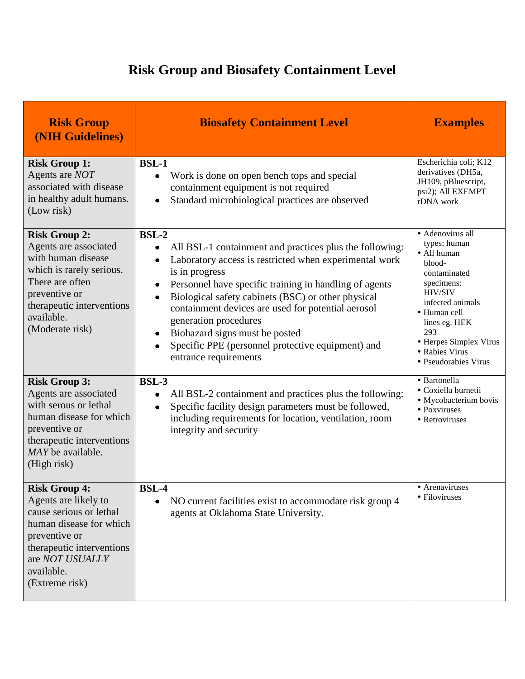## **Risk Group and Biosafety Containment Level**

| <b>Risk Group</b><br>(NIH Guidelines)                                                                                                                                                               | <b>Biosafety Containment Level</b>                                                                                                                                                                                                                                                                                                                                                                                                                                                                                     | <b>Examples</b>                                                                                                                                                                                                                           |
|-----------------------------------------------------------------------------------------------------------------------------------------------------------------------------------------------------|------------------------------------------------------------------------------------------------------------------------------------------------------------------------------------------------------------------------------------------------------------------------------------------------------------------------------------------------------------------------------------------------------------------------------------------------------------------------------------------------------------------------|-------------------------------------------------------------------------------------------------------------------------------------------------------------------------------------------------------------------------------------------|
| <b>Risk Group 1:</b><br>Agents are NOT<br>associated with disease<br>in healthy adult humans.<br>(Low risk)                                                                                         | <b>BSL-1</b><br>Work is done on open bench tops and special<br>$\bullet$<br>containment equipment is not required<br>Standard microbiological practices are observed<br>$\bullet$                                                                                                                                                                                                                                                                                                                                      | Escherichia coli; K12<br>derivatives (DH5a,<br>JH109, pBluescript,<br>psi2); All EXEMPT<br>rDNA work                                                                                                                                      |
| <b>Risk Group 2:</b><br>Agents are associated<br>with human disease<br>which is rarely serious.<br>There are often<br>preventive or<br>therapeutic interventions<br>available.<br>(Moderate risk)   | <b>BSL-2</b><br>All BSL-1 containment and practices plus the following:<br>Laboratory access is restricted when experimental work<br>$\bullet$<br>is in progress<br>Personnel have specific training in handling of agents<br>$\bullet$<br>Biological safety cabinets (BSC) or other physical<br>$\bullet$<br>containment devices are used for potential aerosol<br>generation procedures<br>Biohazard signs must be posted<br>Specific PPE (personnel protective equipment) and<br>$\bullet$<br>entrance requirements | · Adenovirus all<br>types; human<br>· All human<br>blood-<br>contaminated<br>specimens:<br><b>HIV/SIV</b><br>infected animals<br>• Human cell<br>lines eg. HEK<br>293<br>• Herpes Simplex Virus<br>• Rabies Virus<br>• Pseudorabies Virus |
| <b>Risk Group 3:</b><br>Agents are associated<br>with serous or lethal<br>human disease for which<br>preventive or<br>therapeutic interventions<br>MAY be available.<br>(High risk)                 | <b>BSL-3</b><br>All BSL-2 containment and practices plus the following:<br>$\bullet$<br>Specific facility design parameters must be followed,<br>$\bullet$<br>including requirements for location, ventilation, room<br>integrity and security                                                                                                                                                                                                                                                                         | · Bartonella<br>· Coxiella burnetii<br>• Mycobacterium bovis<br>• Poxviruses<br>• Retroviruses                                                                                                                                            |
| <b>Risk Group 4:</b><br>Agents are likely to<br>cause serious or lethal<br>human disease for which<br>preventive or<br>therapeutic interventions<br>are NOT USUALLY<br>available.<br>(Extreme risk) | <b>BSL-4</b><br>NO current facilities exist to accommodate risk group 4<br>$\bullet$<br>agents at Oklahoma State University.                                                                                                                                                                                                                                                                                                                                                                                           | • Arenaviruses<br>• Filoviruses                                                                                                                                                                                                           |